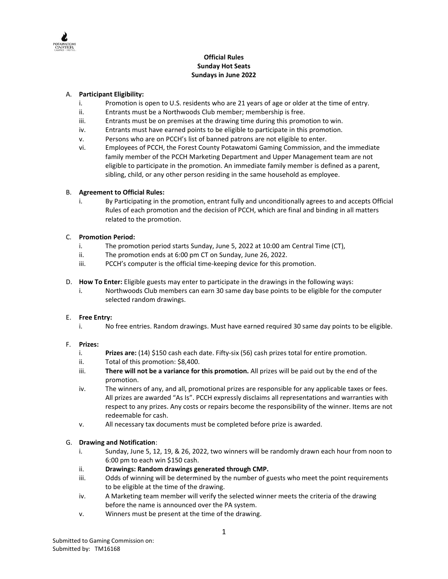

## **Official Rules Sunday Hot Seats Sundays in June 2022**

### A. **Participant Eligibility:**

- i. Promotion is open to U.S. residents who are 21 years of age or older at the time of entry.
- ii. Entrants must be a Northwoods Club member; membership is free.
- iii. Entrants must be on premises at the drawing time during this promotion to win.
- iv. Entrants must have earned points to be eligible to participate in this promotion.
- v. Persons who are on PCCH's list of banned patrons are not eligible to enter.
- vi. Employees of PCCH, the Forest County Potawatomi Gaming Commission, and the immediate family member of the PCCH Marketing Department and Upper Management team are not eligible to participate in the promotion. An immediate family member is defined as a parent, sibling, child, or any other person residing in the same household as employee.

## B. **Agreement to Official Rules:**

i. By Participating in the promotion, entrant fully and unconditionally agrees to and accepts Official Rules of each promotion and the decision of PCCH, which are final and binding in all matters related to the promotion.

## C. **Promotion Period:**

- i. The promotion period starts Sunday, June 5, 2022 at 10:00 am Central Time (CT),
- ii. The promotion ends at 6:00 pm CT on Sunday, June 26, 2022.
- iii. PCCH's computer is the official time-keeping device for this promotion.
- D. **How To Enter:** Eligible guests may enter to participate in the drawings in the following ways:
	- i. Northwoods Club members can earn 30 same day base points to be eligible for the computer selected random drawings.

### E. **Free Entry:**

i. No free entries. Random drawings. Must have earned required 30 same day points to be eligible.

### F. **Prizes:**

- i. **Prizes are:** (14) \$150 cash each date. Fifty-six (56) cash prizes total for entire promotion.
- ii. Total of this promotion: \$8,400.
- iii. **There will not be a variance for this promotion.** All prizes will be paid out by the end of the promotion.
- iv. The winners of any, and all, promotional prizes are responsible for any applicable taxes or fees. All prizes are awarded "As Is". PCCH expressly disclaims all representations and warranties with respect to any prizes. Any costs or repairs become the responsibility of the winner. Items are not redeemable for cash.
- v. All necessary tax documents must be completed before prize is awarded.

# G. **Drawing and Notification**:

- i. Sunday, June 5, 12, 19, & 26, 2022, two winners will be randomly drawn each hour from noon to 6:00 pm to each win \$150 cash.
- 
- ii. **Drawings: Random drawings generated through CMP.**<br>iii. Odds of winning will be determined by the number of g Odds of winning will be determined by the number of guests who meet the point requirements to be eligible at the time of the drawing.
- iv. A Marketing team member will verify the selected winner meets the criteria of the drawing before the name is announced over the PA system.
- v. Winners must be present at the time of the drawing.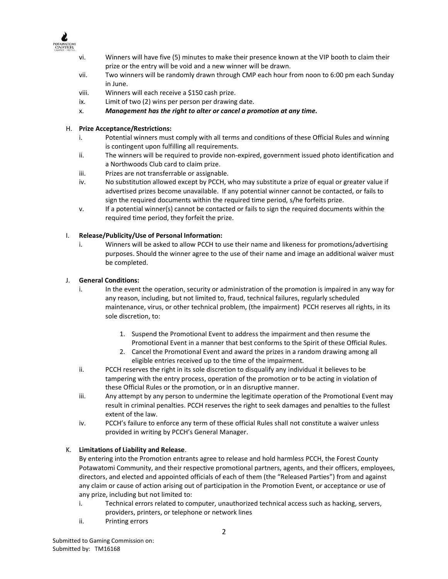

- vi. Winners will have five (5) minutes to make their presence known at the VIP booth to claim their prize or the entry will be void and a new winner will be drawn.
- vii. Two winners will be randomly drawn through CMP each hour from noon to 6:00 pm each Sunday in June.
- viii. Winners will each receive a \$150 cash prize.
- ix. Limit of two (2) wins per person per drawing date.
- x. *Management has the right to alter or cancel a promotion at any time.*

## H. **Prize Acceptance/Restrictions:**

- i. Potential winners must comply with all terms and conditions of these Official Rules and winning is contingent upon fulfilling all requirements.
- ii. The winners will be required to provide non-expired, government issued photo identification and a Northwoods Club card to claim prize.
- iii. Prizes are not transferrable or assignable.
- iv. No substitution allowed except by PCCH, who may substitute a prize of equal or greater value if advertised prizes become unavailable. If any potential winner cannot be contacted, or fails to sign the required documents within the required time period, s/he forfeits prize.
- v. If a potential winner(s) cannot be contacted or fails to sign the required documents within the required time period, they forfeit the prize.

### I. **Release/Publicity/Use of Personal Information:**

i. Winners will be asked to allow PCCH to use their name and likeness for promotions/advertising purposes. Should the winner agree to the use of their name and image an additional waiver must be completed.

### J. **General Conditions:**

- i. In the event the operation, security or administration of the promotion is impaired in any way for any reason, including, but not limited to, fraud, technical failures, regularly scheduled maintenance, virus, or other technical problem, (the impairment) PCCH reserves all rights, in its sole discretion, to:
	- 1. Suspend the Promotional Event to address the impairment and then resume the Promotional Event in a manner that best conforms to the Spirit of these Official Rules.
	- 2. Cancel the Promotional Event and award the prizes in a random drawing among all eligible entries received up to the time of the impairment.
- ii. PCCH reserves the right in its sole discretion to disqualify any individual it believes to be tampering with the entry process, operation of the promotion or to be acting in violation of these Official Rules or the promotion, or in an disruptive manner.
- iii. Any attempt by any person to undermine the legitimate operation of the Promotional Event may result in criminal penalties. PCCH reserves the right to seek damages and penalties to the fullest extent of the law.
- iv. PCCH's failure to enforce any term of these official Rules shall not constitute a waiver unless provided in writing by PCCH's General Manager.

# K. **Limitations of Liability and Release**.

By entering into the Promotion entrants agree to release and hold harmless PCCH, the Forest County Potawatomi Community, and their respective promotional partners, agents, and their officers, employees, directors, and elected and appointed officials of each of them (the "Released Parties") from and against any claim or cause of action arising out of participation in the Promotion Event, or acceptance or use of any prize, including but not limited to:

- i. Technical errors related to computer, unauthorized technical access such as hacking, servers, providers, printers, or telephone or network lines
- ii. Printing errors